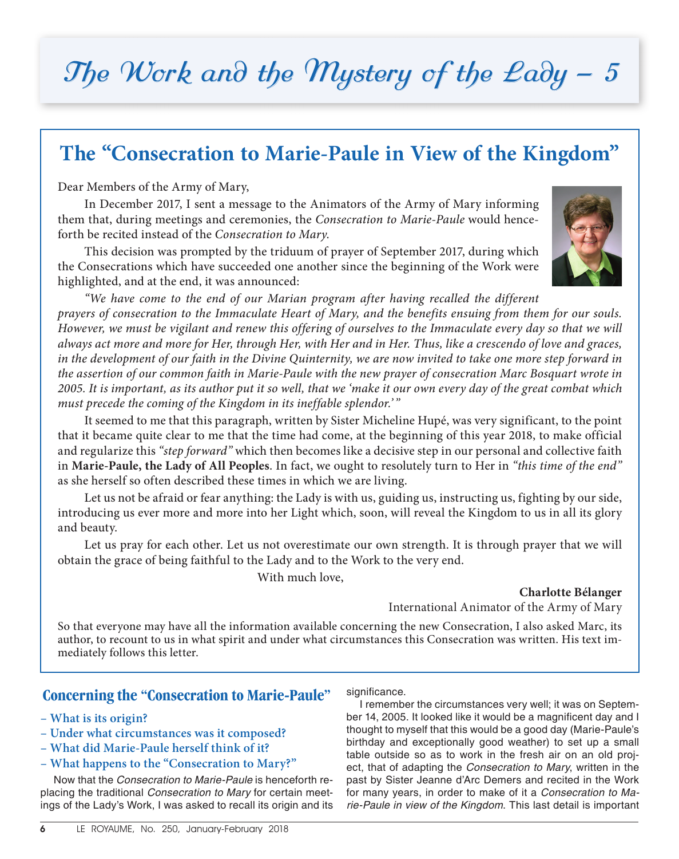## The Work and the Mystery of the Lady - 5

## **The "Consecration to Marie-Paule in View of the Kingdom"**

Dear Members of the Army of Mary,

In December 2017, I sent a message to the Animators of the Army of Mary informing them that, during meetings and ceremonies, the *Consecration to Marie-Paule* would henceforth be recited instead of the *Consecration to Mary*.

This decision was prompted by the triduum of prayer of September 2017, during which the Consecrations which have succeeded one another since the beginning of the Work were highlighted, and at the end, it was announced:



*"We have come to the end of our Marian program after having recalled the different prayers of consecration to the Immaculate Heart of Mary, and the benefits ensuing from them for our souls. However, we must be vigilant and renew this offering of ourselves to the Immaculate every day so that we will always act more and more for Her, through Her, with Her and in Her. Thus, like a crescendo of love and graces, in the development of our faith in the Divine Quinternity, we are now invited to take one more step forward in the assertion of our common faith in Marie-Paule with the new prayer of consecration Marc Bosquart wrote in 2005. It is important, as its author put it so well, that we 'make it our own every day of the great combat which must precede the coming of the Kingdom in its ineffable splendor.' "*

It seemed to me that this paragraph, written by Sister Micheline Hupé, was very significant, to the point that it became quite clear to me that the time had come, at the beginning of this year 2018, to make official and regularize this *"step forward"* which then becomes like a decisive step in our personal and collective faith in **Marie-Paule, the Lady of All Peoples**. In fact, we ought to resolutely turn to Her in *"this time of the end"* as she herself so often described these times in which we are living.

Let us not be afraid or fear anything: the Lady is with us, guiding us, instructing us, fighting by our side, introducing us ever more and more into her Light which, soon, will reveal the Kingdom to us in all its glory and beauty.

Let us pray for each other. Let us not overestimate our own strength. It is through prayer that we will obtain the grace of being faithful to the Lady and to the Work to the very end.

With much love,

**Charlotte Bélanger** International Animator of the Army of Mary

So that everyone may have all the information available concerning the new Consecration, I also asked Marc, its author, to recount to us in what spirit and under what circumstances this Consecration was written. His text immediately follows this letter.

## **Concerning the "Consecration to Marie-Paule"**

- **What is its origin?**
- **Under what circumstances was it composed?**
- **What did Marie-Paule herself think of it?**
- **What happens to the "Consecration to Mary?"**

Now that the *Consecration to Marie-Paule* is henceforth replacing the traditional *Consecration to Mary* for certain meetings of the Lady's Work, I was asked to recall its origin and its significance.

I remember the circumstances very well; it was on September 14, 2005. It looked like it would be a magnificent day and I thought to myself that this would be a good day (Marie-Paule's birthday and exceptionally good weather) to set up a small table outside so as to work in the fresh air on an old project, that of adapting the *Consecration to Mary*, written in the past by Sister Jeanne d'Arc Demers and recited in the Work for many years, in order to make of it a *Consecration to Marie-Paule in view of the Kingdom*. This last detail is important